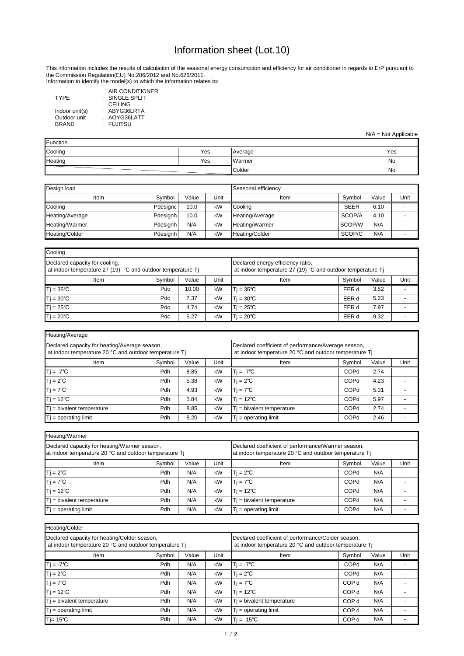Information to identify the model(s) to which the information relates to:

: SINGLE SPLIT : ABYG36LRTA AIR CONDITIONER CEILING AOYG36LATT FUJITSU

: : TYPE Indoor unit(s) Outdoor unit BRAND

| Heating/Average                                                                                         |        |       |                                                                                                               |                              |             |       |      |
|---------------------------------------------------------------------------------------------------------|--------|-------|---------------------------------------------------------------------------------------------------------------|------------------------------|-------------|-------|------|
| Declared capacity for heating/Average season,<br>at indoor temperature 20 °C and outdoor temperature Tj |        |       | Declared coefficient of performance/Average season,<br>at indoor temperature 20 °C and outdoor temperature Tj |                              |             |       |      |
| Item                                                                                                    | Symbol | Value | Unit                                                                                                          | Item                         | Symbol      | Value | Unit |
| $Tj = -7^{\circ}C$                                                                                      | Pdh    | 8.85  | kW                                                                                                            | $T = -7^{\circ}C$            | <b>COPd</b> | 2.74  |      |
| $Tj = 2^{\circ}C$                                                                                       | Pdh    | 5.38  | kW                                                                                                            | $T = 2^{\circ}C$             | <b>COPd</b> | 4.23  |      |
| $Tj = 7^{\circ}C$                                                                                       | Pdh    | 4.93  | kW                                                                                                            | $T = 7^{\circ}C$             | <b>COPd</b> | 5.31  |      |
| $Tj = 12^{\circ}C$                                                                                      | Pdh    | 5.84  | kW                                                                                                            | $ T  = 12^{\circ}C$          | <b>COPd</b> | 5.97  |      |
| $T$ j = bivalent temperature                                                                            | Pdh    | 8.85  | kW                                                                                                            | $T_i$ = bivalent temperature | <b>COPd</b> | 2.74  |      |
| $Tj = operating limit$                                                                                  | Pdh    | 8.20  | kW                                                                                                            | $T$ = operating limit        | <b>COPd</b> | 2.46  |      |

| Heating/Warmer                                                                                         |                                                                                                              |       |      |                              |             |       |      |
|--------------------------------------------------------------------------------------------------------|--------------------------------------------------------------------------------------------------------------|-------|------|------------------------------|-------------|-------|------|
| Declared capacity for heating/Warmer season,<br>at indoor temperature 20 °C and outdoor temperature Tj | Declared coefficient of performance/Warmer season,<br>at indoor temperature 20 °C and outdoor temperature Tj |       |      |                              |             |       |      |
| Item                                                                                                   | Symbol                                                                                                       | Value | Unit | Item                         | Symbol      | Value | Unit |
| $Tj = 2^{\circ}C$                                                                                      | Pdh                                                                                                          | N/A   | kW   | $T = 2^{\circ}C$             | <b>COPd</b> | N/A   |      |
| $Tj = 7^{\circ}C$                                                                                      | Pdh                                                                                                          | N/A   | kW   | $Ti = 7^{\circ}C$            | <b>COPd</b> | N/A   |      |
| $Tj = 12^{\circ}C$                                                                                     | Pdh                                                                                                          | N/A   | kW   | $T = 12^{\circ}C$            | <b>COPd</b> | N/A   |      |
| $Tj$ = bivalent temperature                                                                            | Pdh                                                                                                          | N/A   | kW   | $T_i$ = bivalent temperature | <b>COPd</b> | N/A   |      |
| $Tj = operating limit$                                                                                 | Pdh                                                                                                          | N/A   | kW   | $Tj = operating limit$       | <b>COPd</b> | N/A   |      |

| Design load     |          |       |      | Seasonal efficiency |             |       |      |
|-----------------|----------|-------|------|---------------------|-------------|-------|------|
| Item            | Symbol   | Value | Unit | Item                | Symbol      | Value | Unit |
| Cooling         | Pdesignc | 10.0  | kW   | ,Cooling            | <b>SEER</b> | 6.10  |      |
| Heating/Average | Pdesignh | 10.0  | kW   | Heating/Average     | SCOP/A      | 4.10  |      |
| Heating/Warmer  | Pdesignh | N/A   | kW   | Heating/Warmer      | SCOP/W      | N/A   |      |
| Heating/Colder  | Pdesignh | N/A   | kW   | Heating/Colder      | SCOP/C      | N/A   |      |

| Heating/Colder                                                                                         |                                                                                                              |       |      |                              |                  |       |      |
|--------------------------------------------------------------------------------------------------------|--------------------------------------------------------------------------------------------------------------|-------|------|------------------------------|------------------|-------|------|
| Declared capacity for heating/Colder season,<br>at indoor temperature 20 °C and outdoor temperature Tj | Declared coefficient of performance/Colder season,<br>at indoor temperature 20 °C and outdoor temperature Tj |       |      |                              |                  |       |      |
| Item                                                                                                   | Symbol                                                                                                       | Value | Unit | Item                         | Symbol           | Value | Unit |
| $Ti = -7^{\circ}C$                                                                                     | Pdh                                                                                                          | N/A   | kW   | $Tj = -7^{\circ}C$           | COPd             | N/A   |      |
| $Tj = 2^{\circ}C$                                                                                      | Pdh                                                                                                          | N/A   | kW   | $T = 2^{\circ}C$             | <b>COPd</b>      | N/A   |      |
| $Tj = 7^{\circ}C$                                                                                      | Pdh                                                                                                          | N/A   | kW   | $Tj = 7^{\circ}C$            | COP d            | N/A   |      |
| $Tj = 12^{\circ}C$                                                                                     | Pdh                                                                                                          | N/A   | kW   | $T$ j = 12°C                 | COP <sub>d</sub> | N/A   |      |
| $Ti = bivalent temperature$                                                                            | Pdh                                                                                                          | N/A   | kW   | $T_i$ = bivalent temperature | COP d            | N/A   |      |
| $Tj = operating limit$                                                                                 | Pdh                                                                                                          | N/A   | kW   | $T$ = operating limit        | COP d            | N/A   |      |
| 'Tj=-15℃                                                                                               | Pdh                                                                                                          | N/A   | kW   | $T = -15^{\circ}C$           | COP d            | N/A   |      |

| Cooling                                                                                       |                                                                                                  |       |      |                   |        |       |      |
|-----------------------------------------------------------------------------------------------|--------------------------------------------------------------------------------------------------|-------|------|-------------------|--------|-------|------|
| Declared capacity for cooling,<br>at indoor temperature 27 (19) °C and outdoor temperature Tj | Declared energy efficiency ratio,<br>at indoor temperature 27 (19) °C and outdoor temperature Tj |       |      |                   |        |       |      |
| Item                                                                                          | Symbol                                                                                           | Value | Unit | Item              | Symbol | Value | Unit |
| $Tj = 35^{\circ}C$                                                                            | Pd <sub>c</sub>                                                                                  | 10.00 | kW   | $T = 35^{\circ}C$ | EER d  | 3.52  |      |
| $Tj = 30^{\circ}C$                                                                            | Pdc                                                                                              | 7.37  | kW   | $T = 30^{\circ}C$ | EER d  | 5.23  |      |
| $Tj = 25^{\circ}C$                                                                            | Pdc                                                                                              | 4.74  | kW   | $T = 25^{\circ}C$ | EER d  | 7.97  |      |
| $Tj = 20^{\circ}C$                                                                            | Pdc                                                                                              | 5.27  | kW   | $T = 20^{\circ}C$ | EER d  | 9.32  |      |

| Function |     |         |     |
|----------|-----|---------|-----|
| Cooling  | Yes | Average | Yes |
| Heating  | Yes | Warmer  | No  |
|          |     | Colder  | No  |

## Information sheet (Lot.10)

N/A = Not Applicable

This information includes the results of calculation of the seasonal energy consumption and efficiency for air conditioner in regards to ErP pursuant to the Commission Regulation(EU) No.206/2012 and No.626/2011.